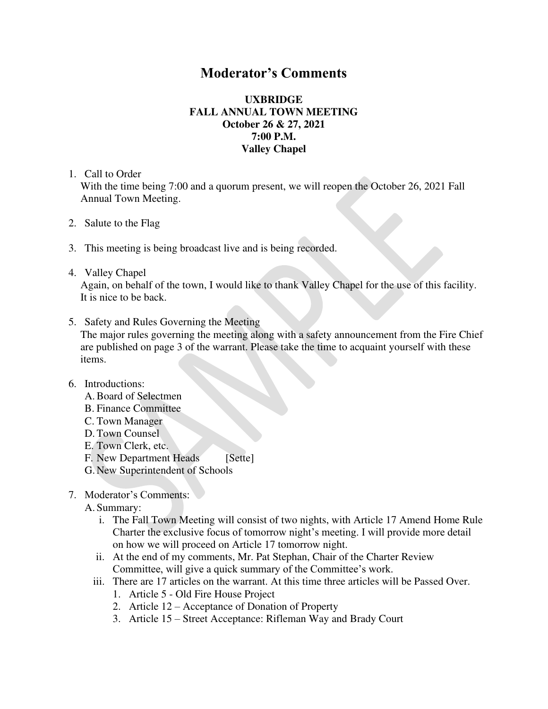## **Moderator's Comments**

## **UXBRIDGE FALL ANNUAL TOWN MEETING October 26 & 27, 2021 7:00 P.M. Valley Chapel**

1. Call to Order

With the time being 7:00 and a quorum present, we will reopen the October 26, 2021 Fall Annual Town Meeting.

- 2. Salute to the Flag
- 3. This meeting is being broadcast live and is being recorded.
- 4. Valley Chapel

Again, on behalf of the town, I would like to thank Valley Chapel for the use of this facility. It is nice to be back.

5. Safety and Rules Governing the Meeting

The major rules governing the meeting along with a safety announcement from the Fire Chief are published on page 3 of the warrant. Please take the time to acquaint yourself with these items.

- 6. Introductions:
	- A.Board of Selectmen
	- B. Finance Committee
	- C. Town Manager
	- D.Town Counsel
	- E. Town Clerk, etc.
	- F. New Department Heads [Sette]
	- G. New Superintendent of Schools
- 7. Moderator's Comments:

A. Summary:

- i. The Fall Town Meeting will consist of two nights, with Article 17 Amend Home Rule Charter the exclusive focus of tomorrow night's meeting. I will provide more detail on how we will proceed on Article 17 tomorrow night.
- ii. At the end of my comments, Mr. Pat Stephan, Chair of the Charter Review Committee, will give a quick summary of the Committee's work.
- iii. There are 17 articles on the warrant. At this time three articles will be Passed Over.
	- 1. Article 5 Old Fire House Project
	- 2. Article 12 Acceptance of Donation of Property
	- 3. Article 15 Street Acceptance: Rifleman Way and Brady Court